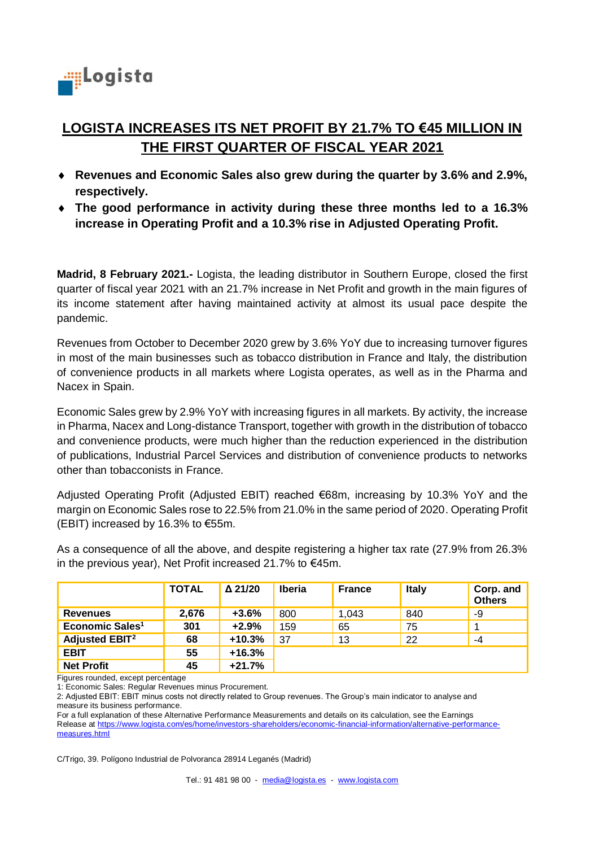

# **LOGISTA INCREASES ITS NET PROFIT BY 21.7% TO €45 MILLION IN THE FIRST QUARTER OF FISCAL YEAR 2021**

- **Revenues and Economic Sales also grew during the quarter by 3.6% and 2.9%, respectively.**
- **The good performance in activity during these three months led to a 16.3% increase in Operating Profit and a 10.3% rise in Adjusted Operating Profit.**

**Madrid, 8 February 2021.-** Logista, the leading distributor in Southern Europe, closed the first quarter of fiscal year 2021 with an 21.7% increase in Net Profit and growth in the main figures of its income statement after having maintained activity at almost its usual pace despite the pandemic.

Revenues from October to December 2020 grew by 3.6% YoY due to increasing turnover figures in most of the main businesses such as tobacco distribution in France and Italy, the distribution of convenience products in all markets where Logista operates, as well as in the Pharma and Nacex in Spain.

Economic Sales grew by 2.9% YoY with increasing figures in all markets. By activity, the increase in Pharma, Nacex and Long-distance Transport, together with growth in the distribution of tobacco and convenience products, were much higher than the reduction experienced in the distribution of publications, Industrial Parcel Services and distribution of convenience products to networks other than tobacconists in France.

Adjusted Operating Profit (Adjusted EBIT) reached €68m, increasing by 10.3% YoY and the margin on Economic Sales rose to 22.5% from 21.0% in the same period of 2020. Operating Profit (EBIT) increased by 16.3% to  $€55m$ .

|                                  | <b>TOTAL</b> | $\Delta$ 21/20 | <b>Iberia</b> | <b>France</b> | <b>Italy</b> | Corp. and<br><b>Others</b> |
|----------------------------------|--------------|----------------|---------------|---------------|--------------|----------------------------|
| <b>Revenues</b>                  | 2,676        | $+3.6%$        | 800           | 1.043         | 840          | -9                         |
| Economic Sales <sup>1</sup>      | 301          | $+2.9%$        | 159           | 65            | 75           | 1                          |
| <b>Adjusted EBIT<sup>2</sup></b> | 68           | $+10.3%$       | 37            | 13            | 22           | -4                         |
| <b>EBIT</b>                      | 55           | $+16.3%$       |               |               |              |                            |
| <b>Net Profit</b>                | 45           | $+21.7%$       |               |               |              |                            |

As a consequence of all the above, and despite registering a higher tax rate (27.9% from 26.3% in the previous year), Net Profit increased 21.7% to €45m.

Figures rounded, except percentage

1: Economic Sales: Regular Revenues minus Procurement.

2: Adjusted EBIT: EBIT minus costs not directly related to Group revenues. The Group's main indicator to analyse and measure its business performance.

For a full explanation of these Alternative Performance Measurements and details on its calculation, see the Earnings Release at [https://www.logista.com/es/home/investors-shareholders/economic-financial-information/alternative-performance](https://www.logista.com/es/home/investors-shareholders/economic-financial-information/alternative-performance-measures.html)[measures.html](https://www.logista.com/es/home/investors-shareholders/economic-financial-information/alternative-performance-measures.html)

C/Trigo, 39. Polígono Industrial de Polvoranca 28914 Leganés (Madrid)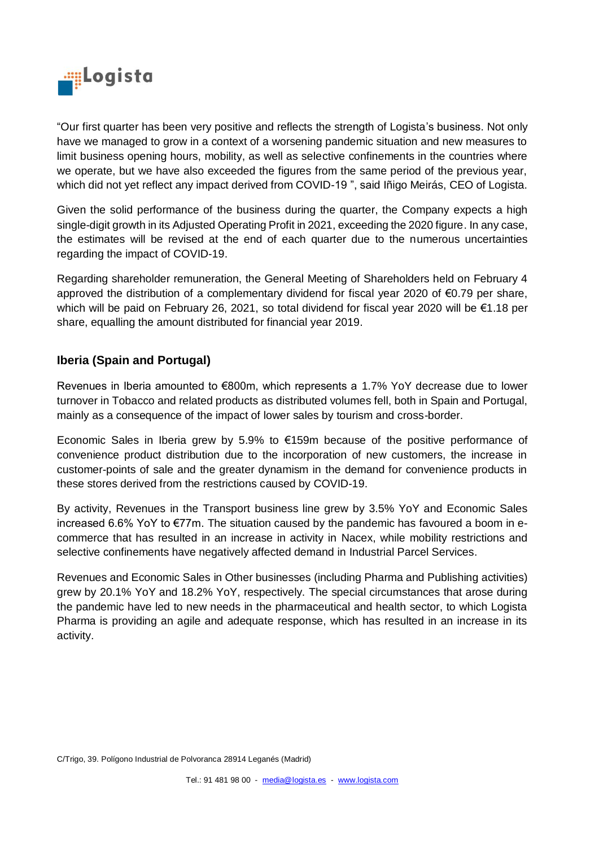

"Our first quarter has been very positive and reflects the strength of Logista's business. Not only have we managed to grow in a context of a worsening pandemic situation and new measures to limit business opening hours, mobility, as well as selective confinements in the countries where we operate, but we have also exceeded the figures from the same period of the previous year, which did not yet reflect any impact derived from COVID-19 ", said Iñigo Meirás, CEO of Logista.

Given the solid performance of the business during the quarter, the Company expects a high single-digit growth in its Adjusted Operating Profit in 2021, exceeding the 2020 figure. In any case, the estimates will be revised at the end of each quarter due to the numerous uncertainties regarding the impact of COVID-19.

Regarding shareholder remuneration, the General Meeting of Shareholders held on February 4 approved the distribution of a complementary dividend for fiscal year 2020 of €0.79 per share, which will be paid on February 26, 2021, so total dividend for fiscal year 2020 will be €1.18 per share, equalling the amount distributed for financial year 2019.

## **Iberia (Spain and Portugal)**

Revenues in Iberia amounted to €800m, which represents a 1.7% YoY decrease due to lower turnover in Tobacco and related products as distributed volumes fell, both in Spain and Portugal, mainly as a consequence of the impact of lower sales by tourism and cross-border.

Economic Sales in Iberia grew by 5.9% to  $\epsilon$ 159m because of the positive performance of convenience product distribution due to the incorporation of new customers, the increase in customer-points of sale and the greater dynamism in the demand for convenience products in these stores derived from the restrictions caused by COVID-19.

By activity, Revenues in the Transport business line grew by 3.5% YoY and Economic Sales increased 6.6% YoY to €77m. The situation caused by the pandemic has favoured a boom in ecommerce that has resulted in an increase in activity in Nacex, while mobility restrictions and selective confinements have negatively affected demand in Industrial Parcel Services.

Revenues and Economic Sales in Other businesses (including Pharma and Publishing activities) grew by 20.1% YoY and 18.2% YoY, respectively. The special circumstances that arose during the pandemic have led to new needs in the pharmaceutical and health sector, to which Logista Pharma is providing an agile and adequate response, which has resulted in an increase in its activity.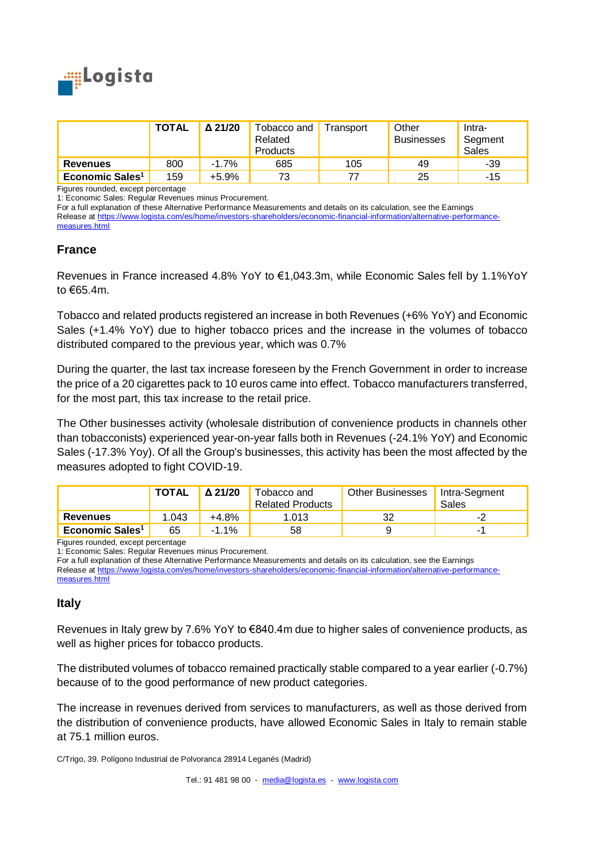

|                             | <b>TOTAL</b> | $\Delta$ 21/20 | Tobacco and<br>Related<br><b>Products</b> | Transport | Other<br><b>Businesses</b> | Intra-<br>Segment<br>Sales |
|-----------------------------|--------------|----------------|-------------------------------------------|-----------|----------------------------|----------------------------|
| <b>Revenues</b>             | 800          | $-1.7%$        | 685                                       | 105       | 49                         | -39                        |
| Economic Sales <sup>1</sup> | 159          | $+5.9%$        | 73                                        |           | 25                         | -15                        |

Figures rounded, except percentage

1: Economic Sales: Regular Revenues minus Procurement.

For a full explanation of these Alternative Performance Measurements and details on its calculation, see the Earnings Release at [https://www.logista.com/es/home/investors-shareholders/economic-financial-information/alternative-performance](https://www.logista.com/es/home/investors-shareholders/economic-financial-information/alternative-performance-measures.html)[measures.html](https://www.logista.com/es/home/investors-shareholders/economic-financial-information/alternative-performance-measures.html)

### **France**

Revenues in France increased 4.8% YoY to €1,043.3m, while Economic Sales fell by 1.1%YoY to €65.4m.

Tobacco and related products registered an increase in both Revenues (+6% YoY) and Economic Sales (+1.4% YoY) due to higher tobacco prices and the increase in the volumes of tobacco distributed compared to the previous year, which was 0.7%

During the quarter, the last tax increase foreseen by the French Government in order to increase the price of a 20 cigarettes pack to 10 euros came into effect. Tobacco manufacturers transferred, for the most part, this tax increase to the retail price.

The Other businesses activity (wholesale distribution of convenience products in channels other than tobacconists) experienced year-on-year falls both in Revenues (-24.1% YoY) and Economic Sales (-17.3% Yoy). Of all the Group's businesses, this activity has been the most affected by the measures adopted to fight COVID-19.

|                             | <b>TOTAL</b> | $\Delta$ 21/20 | Tobacco and<br><b>Related Products</b> | <b>Other Businesses</b> | Intra-Segment<br><b>Sales</b> |
|-----------------------------|--------------|----------------|----------------------------------------|-------------------------|-------------------------------|
| <b>Revenues</b>             | 1.043        | $+4.8%$        | .013                                   | ັ້                      | -2                            |
| Economic Sales <sup>1</sup> | 65           | $-1.1%$        | 58                                     |                         | -                             |

Figures rounded, except percentage

1: Economic Sales: Regular Revenues minus Procurement.

For a full explanation of these Alternative Performance Measurements and details on its calculation, see the Earnings Release at [https://www.logista.com/es/home/investors-shareholders/economic-financial-information/alternative-performance](https://www.logista.com/es/home/investors-shareholders/economic-financial-information/alternative-performance-measures.html)[measures.html](https://www.logista.com/es/home/investors-shareholders/economic-financial-information/alternative-performance-measures.html)

## **Italy**

Revenues in Italy grew by 7.6% YoY to €840.4m due to higher sales of convenience products, as well as higher prices for tobacco products.

The distributed volumes of tobacco remained practically stable compared to a year earlier (-0.7%) because of to the good performance of new product categories.

The increase in revenues derived from services to manufacturers, as well as those derived from the distribution of convenience products, have allowed Economic Sales in Italy to remain stable at 75.1 million euros.

C/Trigo, 39. Polígono Industrial de Polvoranca 28914 Leganés (Madrid)